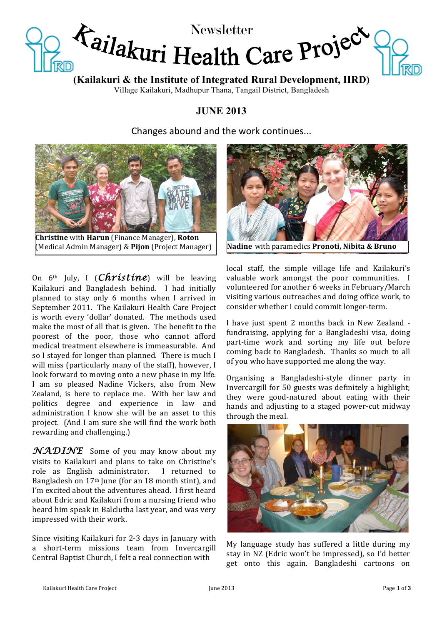

**(Kailakuri & the Institute of Integrated Rural Development, IIRD)**

Village Kailakuri, Madhupur Thana, Tangail District, Bangladesh

# **JUNE 2013**

Changes abound and the work continues...



**Christine** with **Harun** (Finance Manager), **Roton** (Medical!Admin!Manager)!&!**Pijon** (Project!Manager) **Nadine** with!paramedics!**Pronoti,0Nibita0&0Bruno**

On  $6<sup>th</sup>$  July, I (*Christine*) will be leaving Kailakuri and Bangladesh behind. I had initially planned to stay only 6 months when I arrived in September 2011. The Kailakuri Health Care Project is worth every 'dollar' donated. The methods used make the most of all that is given. The benefit to the poorest of the poor, those who cannot afford medical treatment elsewhere is immeasurable. And so I stayed for longer than planned. There is much I will miss (particularly many of the staff), however, I look forward to moving onto a new phase in my life. I am so pleased Nadine Vickers, also from New Zealand, is here to replace me. With her law and politics degree and experience in law and administration I know she will be an asset to this project. (And I am sure she will find the work both rewarding and challenging.)

*NADINE* Some of you may know about my visits to Kailakuri and plans to take on Christine's role as English administrator. I returned to Bangladesh on 17<sup>th</sup> June (for an 18 month stint), and I'm excited about the adventures ahead. I first heard about Edric and Kailakuri from a nursing friend who heard him speak in Balclutha last year, and was very impressed with their work.

Since visiting Kailakuri for 2-3 days in January with a short-term missions team from Invercargill Central Baptist Church, I felt a real connection with



local staff, the simple village life and Kailakuri's valuable work amongst the poor communities. I volunteered for another 6 weeks in February/March visiting various outreaches and doing office work, to consider whether I could commit longer-term.

I have just spent 2 months back in New Zealand fundraising, applying for a Bangladeshi visa, doing part-time work and sorting my life out before coming back to Bangladesh. Thanks so much to all of you who have supported me along the way.

Organising a Bangladeshi-style dinner party in Invercargill for 50 guests was definitely a highlight; they were good-natured about eating with their hands and adjusting to a staged power-cut midway through the meal.



My language study has suffered a little during my stay in NZ (Edric won't be impressed), so I'd better get onto this again. Bangladeshi cartoons on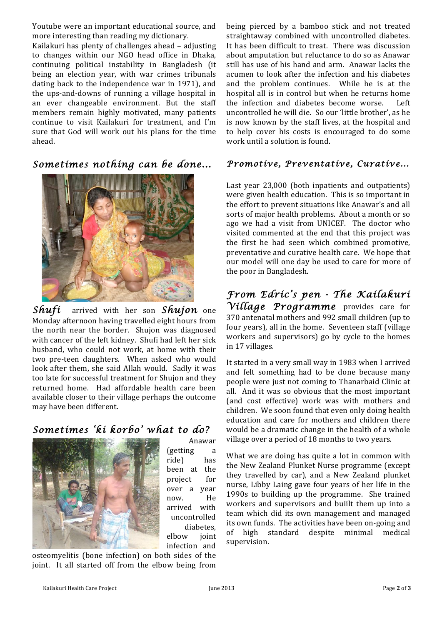Youtube were an important educational source, and more interesting than reading my dictionary.

Kailakuri has plenty of challenges ahead – adjusting to changes within our NGO head office in Dhaka, continuing political instability in Bangladesh (it being an election year, with war crimes tribunals dating back to the independence war in 1971), and the ups-and-downs of running a village hospital in an ever changeable environment. But the staff members remain highly motivated, many patients continue to visit Kailakuri for treatment, and I'm sure that God will work out his plans for the time ahead.

*Sometimes nothing can be done...* 



*Shuft* arrived with her son *Shujon* one Monday afternoon having travelled eight hours from the north near the border. Shujon was diagnosed with cancer of the left kidney. Shufi had left her sick husband, who could not work, at home with their two pre-teen daughters. When asked who would look after them, she said Allah would. Sadly it was too late for successful treatment for Shujon and they returned home. Had affordable health care been available closer to their village perhaps the outcome may have been different.

# *Sometimes 'ki korbo' what to do?*



Anawar! (getting a ride) has been at the project! for! over a year now. He arrived with uncontrolled diabetes, elbow! joint! infection and

osteomyelitis (bone infection) on both sides of the joint. It all started off from the elbow being from being pierced by a bamboo stick and not treated straightaway combined with uncontrolled diabetes. It has been difficult to treat. There was discussion about amputation but reluctance to do so as Anawar still has use of his hand and arm. Anawar lacks the acumen to look after the infection and his diabetes and the problem continues. While he is at the hospital all is in control but when he returns home the infection and diabetes become worse. Left uncontrolled he will die. So our 'little brother', as he is now known by the staff lives, at the hospital and to help cover his costs is encouraged to do some work until a solution is found.

## *Promotive, Preventative, Curative...*

Last year 23,000 (both inpatients and outpatients) were given health education. This is so important in the effort to prevent situations like Anawar's and all sorts of major health problems. About a month or so ago we had a visit from UNICEF. The doctor who visited commented at the end that this project was the first he had seen which combined promotive, preventative and curative health care. We hope that our model will one day be used to care for more of the poor in Bangladesh.

*From Edric's pen - The Kailakuri Village Programme* provides! care! for! 370 antenatal mothers and 992 small children (up to four years), all in the home. Seventeen staff (village workers and supervisors) go by cycle to the homes in 17 villages.

It started in a very small way in 1983 when I arrived and felt something had to be done because many people were just not coming to Thanarbaid Clinic at all. And it was so obvious that the most important (and cost effective) work was with mothers and children. We soon found that even only doing health education and care for mothers and children there would be a dramatic change in the health of a whole village over a period of 18 months to two years.

What we are doing has quite a lot in common with the New Zealand Plunket Nurse programme (except) they travelled by car), and a New Zealand plunket nurse, Libby Laing gave four years of her life in the 1990s to building up the programme. She trained workers and supervisors and buiilt them up into a team which did its own management and managed its own funds. The activities have been on-going and of high standard despite minimal medical supervision.